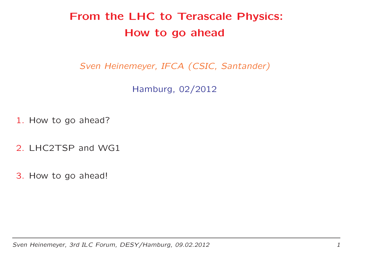# From the LHC to Terascale Physics: How to go ahead

Sven Heinemeyer, IFCA (CSIC, Santander)

Hamburg, 02/2012

1. How to go ahead?

2. LHC2TSP and WG1

3. How to go ahead!

Sven Heinemeyer, 3rd ILC Forum, DESY/Hamburg, 09.02.2012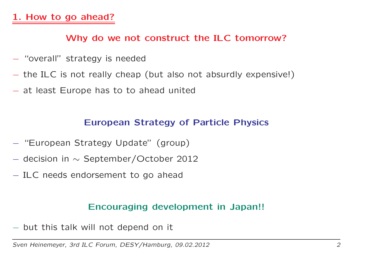## Why do we not construct the ILC tomorrow?

- "overall" strategy is needed
- the ILC is not really cheap (but also not absurdly expensive!)
- $-$  at least Europe has to to ahead united

#### European Strategy of Particle Physics

- "European Strategy Update" (group)
- $-$  decision in  $\sim$  September/October 2012
- ILC needs endorsement to go ahead

### Encouraging development in Japan!!

 $-$  but this talk will not depend on it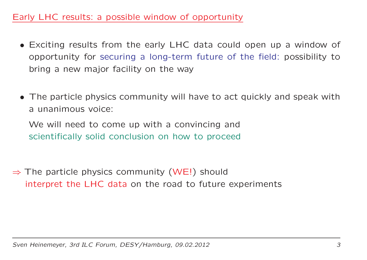## Early LHC results: <sup>a</sup> possible window of opportunity

- Exciting results from the early LHC data could open up <sup>a</sup> window of opportunity for securing <sup>a</sup> long-term future of the field: possibility to bring <sup>a</sup> new major facility on the way
- The particle physics community will have to act quickly and speak with <sup>a</sup> unanimous voice:

We will need to come up with <sup>a</sup> convincing and scientifically solid conclusion on how to proceed

 $\Rightarrow$  The particle physics community (WE!) should<br>interpret the LHC data on the read to future interpret the LHC data on the road to future experiments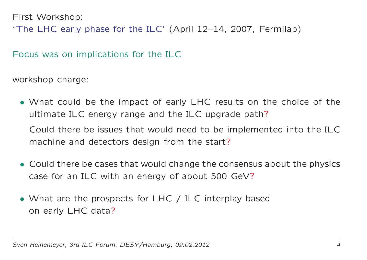First Workshop:

'The LHC early phase for the ILC' (April 12–14, 2007, Fermilab)

Focus was on implications for the ILC

workshop charge:

• What could be the impact of early LHC results on the choice of the ultimate ILC energy range and the ILC upgrade path?

Could there be issues that would need to be implemented into the ILCmachine and detectors design from the start?

- Could there be cases that would change the consensus about the physics case for an ILC with an energy of about <sup>500</sup> GeV?
- What are the prospects for LHC / ILC interplay based on early LHC data?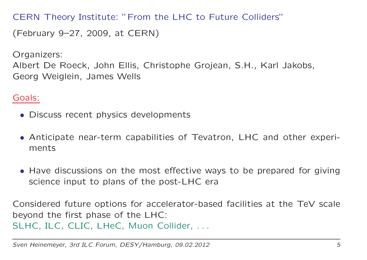CERN Theory Institute: "From the LHC to Future Colliders"

(February 9–27, 2009, at CERN)

Organizers:

Albert De Roeck, John Ellis, Christophe Grojean, S.H., Karl Jakobs, Georg Weiglein, James Wells

Goals:

- Discuss recent physics developments
- Anticipate near-term capabilities of Tevatron, LHC and other experiments
- Have discussions on the most effective ways to be prepared for giving science input to plans of the post-LHC era

Considered future options for accelerator-based facilities at the TeV scale beyond the first phase of the LHC: SLHC, ILC, CLIC, LHeC, Muon Collider, ...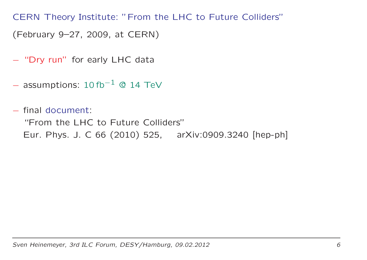CERN Theory Institute: "From the LHC to Future Colliders"

(February 9–27, 2009, at CERN)

- "Dry run" for early LHC data
- $-$  assumptions: 10 fb<sup>-1</sup> © 14 TeV

 final document: "From the LHC to Future Colliders" Eur. Phys. J. <sup>C</sup> <sup>66</sup> (2010) 525, arXiv:0909.3240 [hep-ph]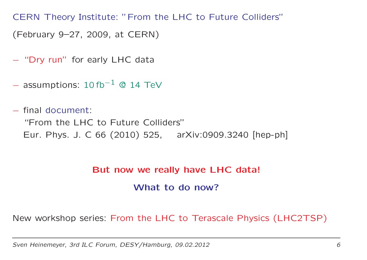CERN Theory Institute: "From the LHC to Future Colliders"

(February 9–27, 2009, at CERN)

- "Dry run" for early LHC data
- $-$  assumptions: 10 fb<sup>-1</sup> © 14 TeV
- final document: "From the LHC to Future Colliders" Eur. Phys. J. <sup>C</sup> <sup>66</sup> (2010) 525, arXiv:0909.3240 [hep-ph]

#### But now we really have LHC data!

What to do now?

New workshop series: From the LHC to Terascale Physics (LHC2TSP)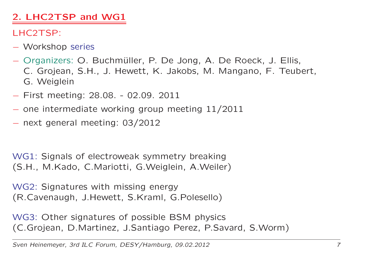# 2. LHC2TSP and WG1

# LHC2TSP:

- Workshop series
- Organizers: O. Buchmüller, P. De Jong, A. De Roeck, J. Ellis,<br>G. Greiese, S.I.L. L. Howett, I≤ Jakobs, M. Mangane, E. Teub C. Grojean, S.H., J. Hewett, K. Jakobs, M. Mangano, F. Teubert, G. Weiglein
- First meeting: 28.08. 02.09. <sup>2011</sup>
- $-$  one intermediate working group meeting  $11/2011$
- $-$  next general meeting: 03/2012

WG1: Signals of electroweak symmetry breaking (S.H., M.Kado, C.Mariotti, G.Weiglein, A.Weiler)

WG2: Signatures with missing energy (R.Cavenaugh, J.Hewett, S.Kraml, G.Polesello)

WG3: Other signatures of possible BSM physics (C.Grojean, D.Martinez, J.Santiago Perez, P.Savard, S.Worm)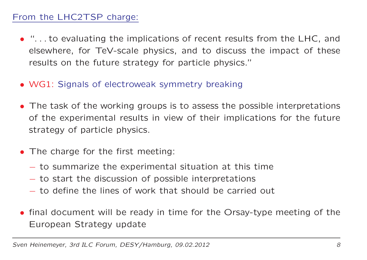## From the LHC2TSP charge:

- ". . . to evaluating the implications of recent results from the LHC, and elsewhere, for TeV-scale physics, and to discuss the impact of these results on the future strategy for particle physics."
- WG1: Signals of electroweak symmetry breaking
- The task of the working groups is to assess the possible interpretations of the experimental results in view of their implications for the future strategy of particle physics.
- The charge for the first meeting:
	- to summarize the experimental situation at this time
	- to start the discussion of possible interpretations
	- to define the lines of work that should be carried out
- final document will be ready in time for the Orsay-type meeting of the European Strategy update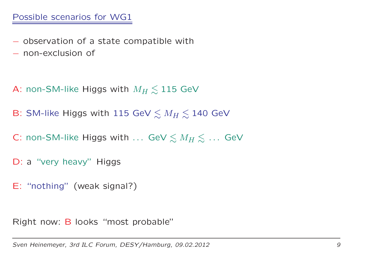- observation of a state compatible with
- $-$  non-exclusion of
- A: non-SM-like Higgs with  $M_H \lesssim$  $\lesssim 115$  GeV
- B: SM-like Higgs with 115 GeV  $\lesssim M_H \lesssim$  $\lesssim 140\,$  GeV
- C: non-SM-like Higgs with  $\dots$  GeV  $\lesssim M_H\lesssim$  $\lesssim$   $\ldots$  GeV
- D: a "very heavy" Higgs
- E: "nothing" (weak signal?)

Right now: B looks "most probable"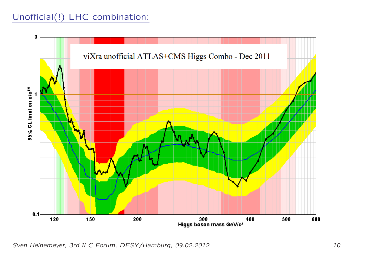# Unofficial(!) LHC combination:

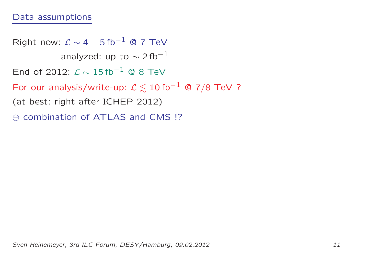### Data assumptions

Right now:  $\mathcal{L} \sim 4 - 5$  fb<sup>-1</sup> @ 7 TeV analyzed: up to  $\sim$  2 fb $^{-1}$ End of 2012:  $\mathcal{L} \sim 15$  fb<sup>-1</sup> © 8 TeV For our analysis/write-up:  $\mathcal{L} \lesssim 10\,\rm{fb^{-1}}$  @ 7/8 TeV ?<br>(at heaty right after IGUED 2012) (at best: right after ICHEP 2012) ⊕ combination of ATLAS and CMS !?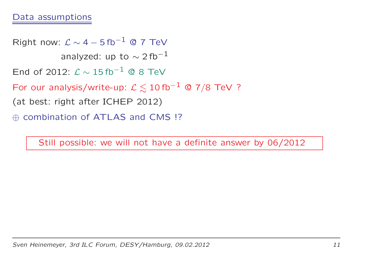#### Data assumptions

Right now:  $\mathcal{L} \sim 4 - 5$  fb<sup>-1</sup> © 7 TeV analyzed: up to  $\sim$  2 fb $^{-1}$ End of 2012:  $\mathcal{L} \sim 15$  fb<sup>-1</sup> © 8 TeV For our analysis/write-up:  $\mathcal{L} \lesssim 10\,\rm{fb^{-1}}$  @ 7/8 TeV ?<br>(at heaty right after IGUED 2012) (at best: right after ICHEP 2012) ⊕ combination of ATLAS and CMS !?

Still possible: we will not have <sup>a</sup> definite answer by 06/2012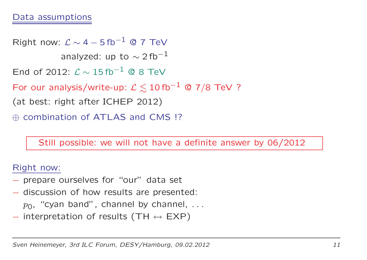### Data assumptions

Right now:  $\mathcal{L} \sim 4 - 5$  fb<sup>-1</sup> @ 7 TeV analyzed: up to  $\sim$  2 fb $^{-1}$ End of 2012:  $\mathcal{L} \sim 15$  fb<sup>-1</sup> © 8 TeV For our analysis/write-up:  $\mathcal{L} \lesssim 10\,\rm{fb^{-1}}$  @ 7/8 TeV ?<br>(at heaty right after IGUED 2012) (at best: right after ICHEP 2012) ⊕ combination of ATLAS and CMS !?

Still possible: we will not have <sup>a</sup> definite answer by 06/2012

Right now:

- prepare ourselves for "our" data set
- discussion of how results are presented:  $p_0$ , "cyan band", channel by channel, ...
- $-$  interpretation of results (TH  $\leftrightarrow$  EXP)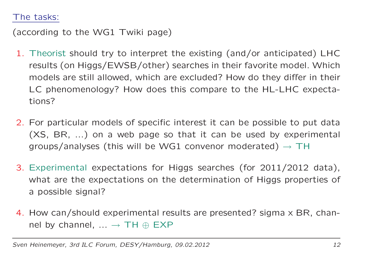#### The tasks:

(according to the WG1 Twiki page)

- 1. Theorist should try to interpret the existing (and/or anticipated) LHC results (on Higgs/EWSB/other) searches in their favorite model. Which models are still allowed, which are excluded? How do they differ in their LC phenomenology? How does this compare to the HL-LHC expectations?
- 2. For particular models of specific interest it can be possible to put data (XS, BR, ...) on <sup>a</sup> web page so that it can be used by experimental groups/analyses (this will be WG1 convenor moderated)  $\rightarrow$  TH
- 3. Experimental expectations for Higgs searches (for 2011/2012 data), what are the expectations on the determination of Higgs properties of <sup>a</sup> possible signal?
- 4. How can/should experimental results are presented? sigma <sup>x</sup> BR, channel by channel,  $\ldots \rightarrow TH \oplus EXP$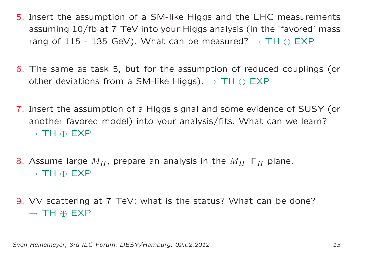- 5. Insert the assumption of <sup>a</sup> SM-like Higgs and the LHC measurements assuming 10/fb at <sup>7</sup> TeV into your Higgs analysis (in the 'favored' mass rang of 115 - 135 GeV). What can be measured?  $\rightarrow$  TH  $\oplus$  EXP
- $6.$  The same as task 5, but for the assumption of reduced couplings (or other deviations from a SM-like Higgs).  $\rightarrow$  TH  $\oplus$  EXP
- 7. Insert the assumption of <sup>a</sup> Higgs signal and some evidence of SUSY (or another favored model) into your analysis/fits. What can we learn?  $\rightarrow$  TH  $\oplus$  EXP
- 8. Assume large  $M_H$ , prepare an analysis in the  $M_H$ –Г $_H$  plane.  $\rightarrow$  TH  $\oplus$  EXP
- 9. VV scattering at <sup>7</sup> TeV: what is the status? What can be done?  $\rightarrow$  TH  $\oplus$  EXP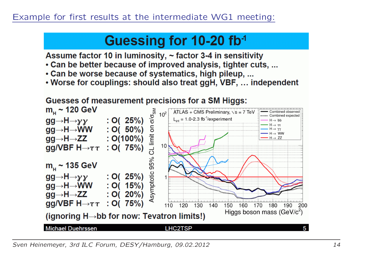# Guessing for 10-20 fb<sup>-1</sup>

Assume factor 10 in luminosity, ~ factor 3-4 in sensitivity

- Can be better because of improved analysis, tighter cuts, ...
- Can be worse because of systematics, high pileup, ...
- Worse for couplings: should also treat ggH, VBF, ... independent

## **Guesses of measurement precisions for a SM Higgs:**

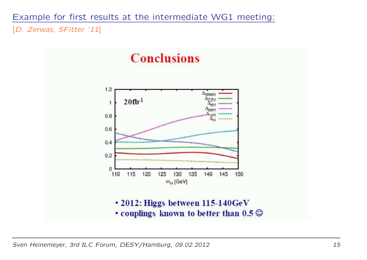Example for first results at the intermediate WG1 meeting:

[D. Zerwas, SFitter '11]



Sven Heinemeyer, 3rd ILC Forum, DESY/Hamburg, 09.02.2012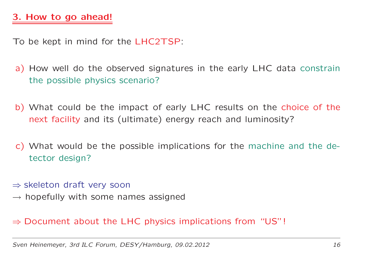To be kept in mind for the LHC2TSP:

- a) How well do the observed signatures in the early LHC data constrain the possible physics scenario?
- b) What could be the impact of early LHC results on the choice of the next facility and its (ultimate) energy reach and luminosity?
- c) What would be the possible implications for the machine and the detector design?
- ⇒ skeleton draft very soon<br>A honofully with some nat
- $\rightarrow$  hopefully with some names assigned
- $\Rightarrow$  Document about the LHC physics implications from "US"!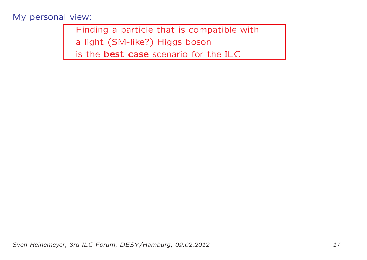#### My personal view:

Finding <sup>a</sup> particle that is compatible with

<sup>a</sup> light (SM-like?) Higgs boson

is the best case scenario for the ILC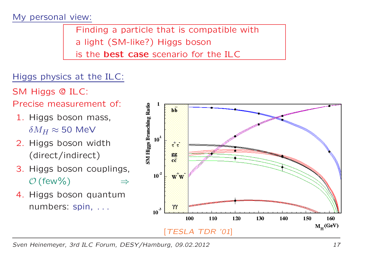#### My personal view:

Finding <sup>a</sup> particle that is compatible with <sup>a</sup> light (SM-like?) Higgs boson is the **best case** scenario for the ILC

## Higgs physics at the ILC:

SM Higgs @ ILC:

Precise measurement of:

- 1. Higgs boson mass,  $\delta M_H \approx$  50 MeV  $\,$
- 2. Higgs boson width (direct/indirect)
- 3. Higgs boson couplings,  $\mathcal{O}(\text{few}\%)$   $\Rightarrow$
- 4. Higgs boson quantumnumbers: spin, . . .



Sven Heinemeyer, 3rd ILC Forum, DESY/Hamburg, 09.02.2012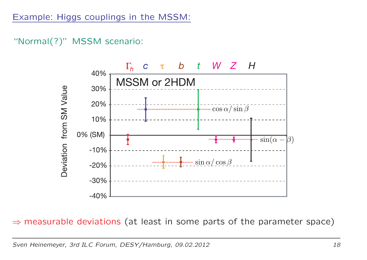# "Normal(?)" MSSM scenario:



 $\Rightarrow$  measurable deviations (at least in some parts of the parameter space)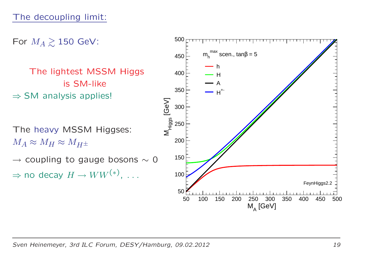For  $M_A \gtrsim 150$  GeV:

The lightest MSSM Higgs is SM-like  $\Rightarrow$  SM analysis applies!

The heavy MSSM Higgses:  $M_A \approx M_H \approx M_{H^\pm}$ 

 $\rightarrow$  coupling to gauge bosons  $\sim$  0 ⇒ $\Rightarrow$  no decay  $H \rightarrow WW^{(*)}$ , ...

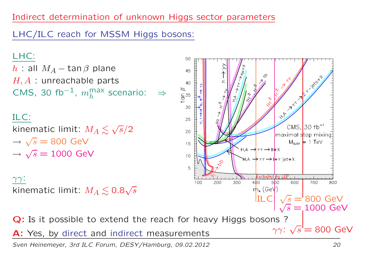# Indirect determination of unknown Higgs sector parameters

LHC/ILC reach for MSSM Higgs bosons:

LHC:

 $h$  : all  $M_A$  $H, A$  : unreachable parts − tan β plane  $\textsf{CMS}, \textsf{30 fb}^{-1}$ ,  $m_h^{\mathrm{max}}$  $h^{HdX}$  scenario: ⇒

ILC:

kinematic limit:  $M_A \lesssim \sqrt{s}/2$  $\rightarrow$   $\sqrt{s} = 800$  GeV  $\rightarrow \sqrt{s} = 1000$  GeV

 $\gamma\gamma$  : kinematic limit:  $M_A \lesssim 0.8 \sqrt{s}$ 



Sven Heinemeyer, 3rd ILC Forum, DESY/Hamburg, 09.02.2012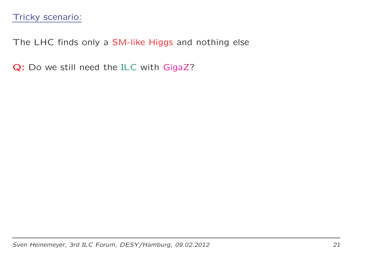The LHC finds only <sup>a</sup> SM-like Higgs and nothing else

**Q:** Do we still need the ILC with GigaZ?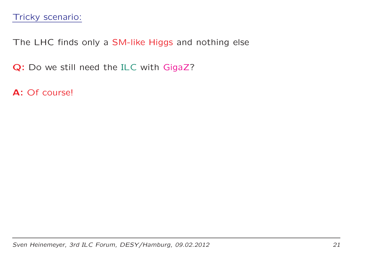The LHC finds only <sup>a</sup> SM-like Higgs and nothing else

**Q:** Do we still need the ILC with GigaZ?

**A:** Of course!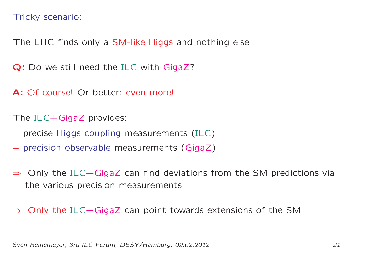The LHC finds only <sup>a</sup> SM-like Higgs and nothing else

**Q:** Do we still need the ILC with GigaZ?

**A:** Of course! Or better: even more!

The  $ILC+GigaZ$  provides:

- precise Higgs coupling measurements (ILC)
- precision observable measurements (GigaZ)
- $\Rightarrow$  Only the ILC+GigaZ can find deviations from the SM predictions via<br>the various precision measurements the various precision measurements

⇒Only the ILC+GigaZ can point towards extensions of the SM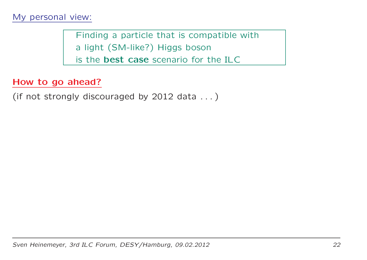Finding <sup>a</sup> particle that is compatible with <sup>a</sup> light (SM-like?) Higgs boson is the best case scenario for the ILC

#### How to go ahead?

(if not strongly discouraged by <sup>2012</sup> data . . . )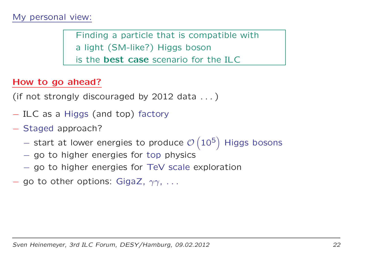#### My personal view:

Finding <sup>a</sup> particle that is compatible with <sup>a</sup> light (SM-like?) Higgs boson is the best case scenario for the ILC

#### How to go ahead?

(if not strongly discouraged by <sup>2012</sup> data . . . )

- ILC as a Higgs (and top) factory
- Staged approach?
	- start at lower energies to produce  $\mathcal{O}\left(10^5\right)$  Higgs bosons
	- $-$  go to higher energies for top physics
	- go to higher energies for TeV scale exploration
- go to other options: GigaZ,  $\gamma\gamma$ , ...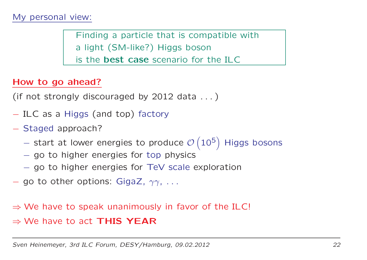#### My personal view:

Finding <sup>a</sup> particle that is compatible with <sup>a</sup> light (SM-like?) Higgs boson is the best case scenario for the ILC

#### How to go ahead?

(if not strongly discouraged by <sup>2012</sup> data . . . )

- ILC as a Higgs (and top) factory
- Staged approach?
	- start at lower energies to produce  $\mathcal{O}\left(10^5\right)$  Higgs bosons
	- $-$  go to higher energies for top physics
	- go to higher energies for TeV scale exploration
- go to other options: GigaZ,  $\gamma\gamma$ , ...

# ⇒ We have to speak unanimously in favor of the ILC!  $\Rightarrow$  We have to act THIS YEAR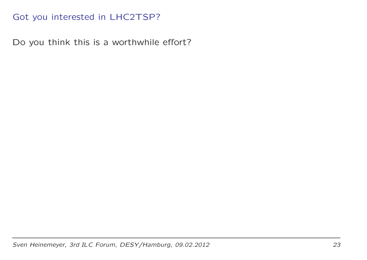## Got you interested in LHC2TSP?

Do you think this is <sup>a</sup> worthwhile effort?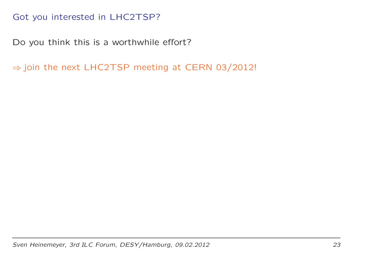## Got you interested in LHC2TSP?

Do you think this is <sup>a</sup> worthwhile effort?

 $\Rightarrow$  join the next <code>LHC2TSP</code> meeting at CERN 03/2012!